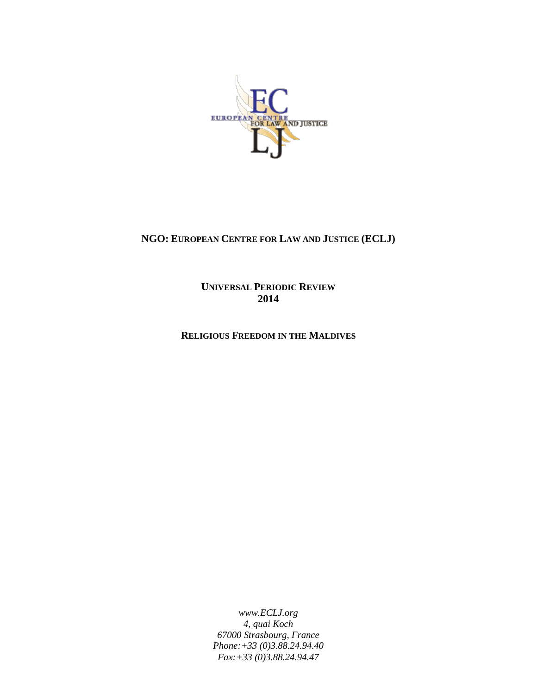

# **NGO: EUROPEAN CENTRE FOR LAW AND JUSTICE (ECLJ)**

**UNIVERSAL PERIODIC REVIEW 2014**

**RELIGIOUS FREEDOM IN THE MALDIVES**

*www.ECLJ.org 4, quai Koch 67000 Strasbourg, France Phone:+33 (0)3.88.24.94.40 Fax:+33 (0)3.88.24.94.47*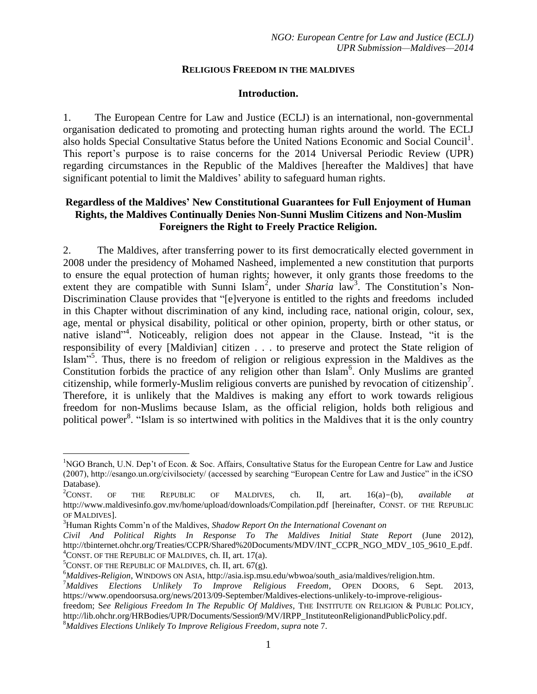#### **RELIGIOUS FREEDOM IN THE MALDIVES**

#### **Introduction.**

1. The European Centre for Law and Justice (ECLJ) is an international, non-governmental organisation dedicated to promoting and protecting human rights around the world. The ECLJ also holds Special Consultative Status before the United Nations Economic and Social Council<sup>1</sup>. This report's purpose is to raise concerns for the 2014 Universal Periodic Review (UPR) regarding circumstances in the Republic of the Maldives [hereafter the Maldives] that have significant potential to limit the Maldives' ability to safeguard human rights.

### **Regardless of the Maldives' New Constitutional Guarantees for Full Enjoyment of Human Rights, the Maldives Continually Denies Non-Sunni Muslim Citizens and Non-Muslim Foreigners the Right to Freely Practice Religion.**

2. The Maldives, after transferring power to its first democratically elected government in 2008 under the presidency of Mohamed Nasheed, implemented a new constitution that purports to ensure the equal protection of human rights; however, it only grants those freedoms to the extent they are compatible with Sunni Islam<sup>2</sup>, under *Sharia* law<sup>3</sup>. The Constitution's Non-Discrimination Clause provides that "[e]veryone is entitled to the rights and freedoms included in this Chapter without discrimination of any kind, including race, national origin, colour, sex, age, mental or physical disability, political or other opinion, property, birth or other status, or native island<sup>"4</sup>. Noticeably, religion does not appear in the Clause. Instead, "it is the responsibility of every [Maldivian] citizen . . . to preserve and protect the State religion of Islam"<sup>5</sup>. Thus, there is no freedom of religion or religious expression in the Maldives as the Constitution forbids the practice of any religion other than Islam<sup>6</sup>. Only Muslims are granted citizenship, while formerly-Muslim religious converts are punished by revocation of citizenship<sup>7</sup> . Therefore, it is unlikely that the Maldives is making any effort to work towards religious freedom for non-Muslims because Islam, as the official religion, holds both religious and political power<sup>8</sup>. "Islam is so intertwined with politics in the Maldives that it is the only country

<span id="page-1-0"></span> $\overline{a}$ 

<sup>&</sup>lt;sup>1</sup>NGO Branch, U.N. Dep't of Econ. & Soc. Affairs, Consultative Status for the European Centre for Law and Justice (2007), http://esango.un.org/civilsociety/ (accessed by searching "European Centre for Law and Justice" in the iCSO Database).

<sup>2</sup>CONST. OF THE REPUBLIC OF MALDIVES, ch. II, art. 16(a)-(b), *available at* http://www.maldivesinfo.gov.mv/home/upload/downloads/Compilation.pdf [hereinafter, CONST. OF THE REPUBLIC OF MALDIVES].

<sup>3</sup>Human Rights Comm'n of the Maldives, *Shadow Report On the International Covenant on* 

*Civil And Political Rights In Response To The Maldives Initial State Report* (June 2012), http://tbinternet.ohchr.org/Treaties/CCPR/Shared%20Documents/MDV/INT\_CCPR\_NGO\_MDV\_105\_9610\_E.pdf.  ${}^{4}$ CONST. OF THE REPUBLIC OF MALDIVES, ch. II, art. 17(a).

 ${}^{5}$ CONST. OF THE REPUBLIC OF MALDIVES, ch. II, art. 67(g).

<sup>6</sup>*Maldives-Religion*, WINDOWS ON ASIA, http://asia.isp.msu.edu/wbwoa/south\_asia/maldives/religion.htm.

<sup>7</sup>*Maldives Elections Unlikely To Improve Religious Freedom*, OPEN DOORS, 6 Sept. 2013, https://www.opendoorsusa.org/news/2013/09-September/Maldives-elections-unlikely-to-improve-religious-

freedom; S*ee Religious Freedom In The Republic Of Maldives*, THE INSTITUTE ON RELIGION & PUBLIC POLICY, http://lib.ohchr.org/HRBodies/UPR/Documents/Session9/MV/IRPP\_InstituteonReligionandPublicPolicy.pdf.

<sup>8</sup>*Maldives Elections Unlikely To Improve Religious Freedom*, *supra* not[e 7.](#page-1-0)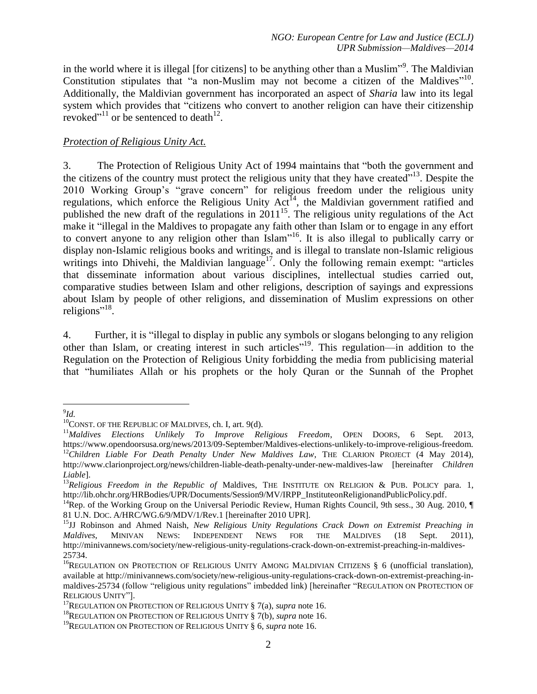in the world where it is illegal [for citizens] to be anything other than a Muslim"<sup>9</sup>. The Maldivian Constitution stipulates that "a non-Muslim may not become a citizen of the Maldives"<sup>10</sup>. Additionally, the Maldivian government has incorporated an aspect of *Sharia* law into its legal system which provides that "citizens who convert to another religion can have their citizenship revoked"<sup>11</sup> or be sentenced to death<sup>12</sup>.

### <span id="page-2-1"></span>*Protection of Religious Unity Act.*

<span id="page-2-0"></span>3. The Protection of Religious Unity Act of 1994 maintains that "both the government and the citizens of the country must protect the religious unity that they have created $"^{13}$ . Despite the 2010 Working Group's "grave concern" for religious freedom under the religious unity regulations, which enforce the Religious Unity  $Act^{14}$ , the Maldivian government ratified and published the new draft of the regulations in  $2011^{15}$ . The religious unity regulations of the Act make it "illegal in the Maldives to propagate any faith other than Islam or to engage in any effort to convert anyone to any religion other than Islam"<sup>16</sup>. It is also illegal to publically carry or display non-Islamic religious books and writings, and is illegal to translate non-Islamic religious writings into Dhivehi, the Maldivian language<sup>17</sup>. Only the following remain exempt: "articles that disseminate information about various disciplines, intellectual studies carried out, comparative studies between Islam and other religions, description of sayings and expressions about Islam by people of other religions, and dissemination of Muslim expressions on other religions"<sup>18</sup>.

4. Further, it is "illegal to display in public any symbols or slogans belonging to any religion other than Islam, or creating interest in such articles"<sup>19</sup>. This regulation—in addition to the Regulation on the Protection of Religious Unity forbidding the media from publicising material that "humiliates Allah or his prophets or the holy Quran or the Sunnah of the Prophet

 $\overline{a}$ 9 *Id.*

 $10$ CONST. OF THE REPUBLIC OF MALDIVES, ch. I, art. 9(d).

<sup>&</sup>lt;sup>11</sup>Maldives Elections Unlikely To Improve Religious Freedom, OPEN DOORS, 6 Sept. 2013, https://www.opendoorsusa.org/news/2013/09-September/Maldives-elections-unlikely-to-improve-religious-freedom. <sup>12</sup>Children Liable For Death Penalty Under New Maldives Law, THE CLARION PROJECT (4 May 2014), http://www.clarionproject.org/news/children-liable-death-penalty-under-new-maldives-law [hereinafter *Children Liable*].

<sup>13</sup>*Religious Freedom in the Republic of* Maldives, THE INSTITUTE ON RELIGION & PUB. POLICY para. 1, http://lib.ohchr.org/HRBodies/UPR/Documents/Session9/MV/IRPP\_InstituteonReligionandPublicPolicy.pdf.

<sup>&</sup>lt;sup>14</sup>Rep. of the Working Group on the Universal Periodic Review, Human Rights Council, 9th sess., 30 Aug. 2010, 81 U.N. DOC. A/HRC/WG.6/9/MDV/1/Rev.1 [hereinafter 2010 UPR].

<sup>15</sup>JJ Robinson and Ahmed Naish, *New Religious Unity Regulations Crack Down on Extremist Preaching in Maldives*, MINIVAN NEWS: INDEPENDENT NEWS FOR THE MALDIVES (18 Sept. 2011), http://minivannews.com/society/new-religious-unity-regulations-crack-down-on-extremist-preaching-in-maldives-25734.

<sup>&</sup>lt;sup>16</sup>REGULATION ON PROTECTION OF RELIGIOUS UNITY AMONG MALDIVIAN CITIZENS  $\S$  6 (unofficial translation), available at http://minivannews.com/society/new-religious-unity-regulations-crack-down-on-extremist-preaching-inmaldives-25734 (follow "religious unity regulations" imbedded link) [hereinafter "REGULATION ON PROTECTION OF RELIGIOUS UNITY"].

<sup>17</sup>REGULATION ON PROTECTION OF RELIGIOUS UNITY § 7(a), *supra* not[e 16.](#page-2-0)

<sup>18</sup>REGULATION ON PROTECTION OF RELIGIOUS UNITY § 7(b), *supra* note [16.](#page-2-0)

<sup>19</sup>REGULATION ON PROTECTION OF RELIGIOUS UNITY § 6, *supra* not[e 16.](#page-2-0)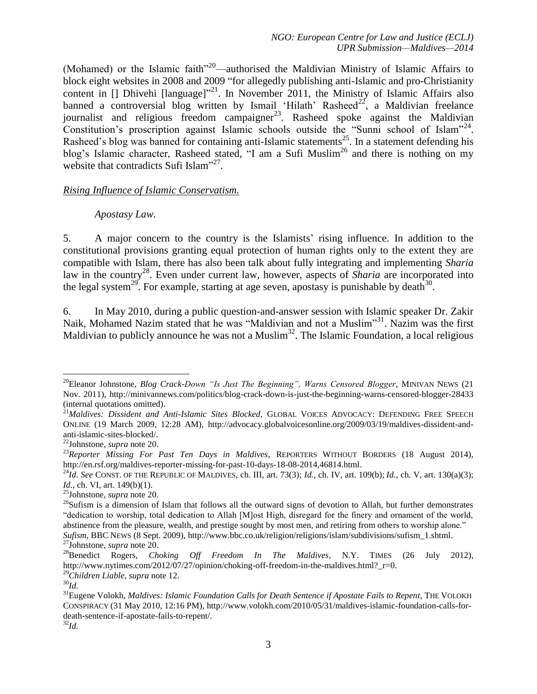<span id="page-3-0"></span>(Mohamed) or the Islamic faith"<sup>20</sup>—authorised the Maldivian Ministry of Islamic Affairs to block eight websites in 2008 and 2009 "for allegedly publishing anti-Islamic and pro-Christianity content in [] Dhivehi [language]"<sup>21</sup>. In November 2011, the Ministry of Islamic Affairs also banned a controversial blog written by Ismail 'Hilath' Rasheed<sup>22</sup>, a Maldivian freelance journalist and religious freedom campaigner<sup>23</sup>. Rasheed spoke against the Maldivian Constitution's proscription against Islamic schools outside the "Sunni school of Islam"<sup>24</sup>. Rasheed's blog was banned for containing anti-Islamic statements<sup>25</sup>. In a statement defending his blog's Islamic character, Rasheed stated, "I am a Sufi Muslim<sup>26</sup> and there is nothing on my website that contradicts Sufi Islam"<sup>27</sup>.

#### *Rising Influence of Islamic Conservatism.*

#### <span id="page-3-1"></span>*Apostasy Law.*

5. A major concern to the country is the Islamists' rising influence. In addition to the constitutional provisions granting equal protection of human rights only to the extent they are compatible with Islam, there has also been talk about fully integrating and implementing *Sharia* law in the country<sup>28</sup>. Even under current law, however, aspects of *Sharia* are incorporated into the legal system<sup>29</sup>. For example, starting at age seven, apostasy is punishable by death<sup>30</sup>.

6. In May 2010, during a public question-and-answer session with Islamic speaker Dr. Zakir Naik, Mohamed Nazim stated that he was "Maldivian and not a Muslim"<sup>31</sup>. Nazim was the first Maldivian to publicly announce he was not a Muslim<sup>32</sup>. The Islamic Foundation, a local religious

 $\overline{a}$ 

<sup>&</sup>lt;sup>20</sup>Eleanor Johnstone, *Blog Crack-Down "Is Just The Beginning", Warns Censored Blogger*, MINIVAN NEWS (21 Nov. 2011), http://minivannews.com/politics/blog-crack-down-is-just-the-beginning-warns-censored-blogger-28433 (internal quotations omitted).

<sup>&</sup>lt;sup>21</sup>Maldives: Dissident and Anti-Islamic Sites Blocked, GLOBAL VOICES ADVOCACY: DEFENDING FREE SPEECH ONLINE (19 March 2009, 12:28 AM), http://advocacy.globalvoicesonline.org/2009/03/19/maldives-dissident-andanti-islamic-sites-blocked/.

<sup>22</sup>Johnstone, *supra* note [20.](#page-3-0)

<sup>&</sup>lt;sup>23</sup>Reporter Missing For Past Ten Days in Maldives, REPORTERS WITHOUT BORDERS (18 August 2014), http://en.rsf.org/maldives-reporter-missing-for-past-10-days-18-08-2014,46814.html.

<sup>24</sup>*Id*. *See* CONST. OF THE REPUBLIC OF MALDIVES, ch. III, art. 73(3); *Id.*, ch. IV, art. 109(b); *Id.*, ch. V, art. 130(a)(3); *Id.*, ch. VI, art. 149(b)(1).

<sup>25</sup>Johnstone, *supra* note [20.](#page-3-0)

 $^{26}$ Sufism is a dimension of Islam that follows all the outward signs of devotion to Allah, but further demonstrates "dedication to worship, total dedication to Allah [M]ost High, disregard for the finery and ornament of the world, abstinence from the pleasure, wealth, and prestige sought by most men, and retiring from others to worship alone." *Sufism*, BBC NEWS (8 Sept. 2009), http://www.bbc.co.uk/religion/religions/islam/subdivisions/sufism\_1.shtml.

<sup>27</sup>Johnstone, *supra* note [20.](#page-3-0)

<sup>28</sup>Benedict Rogers, *Choking Off Freedom In The Maldives*, N.Y. TIMES (26 July 2012), http://www.nytimes.com/2012/07/27/opinion/choking-off-freedom-in-the-maldives.html? r=0. <sup>29</sup>*Children Liable*, *supra* note [12.](#page-2-1)

<sup>30</sup>*Id.*

<sup>31</sup>Eugene Volokh, *Maldives: Islamic Foundation Calls for Death Sentence if Apostate Fails to Repent*, THE VOLOKH CONSPIRACY (31 May 2010, 12:16 PM), http://www.volokh.com/2010/05/31/maldives-islamic-foundation-calls-fordeath-sentence-if-apostate-fails-to-repent/.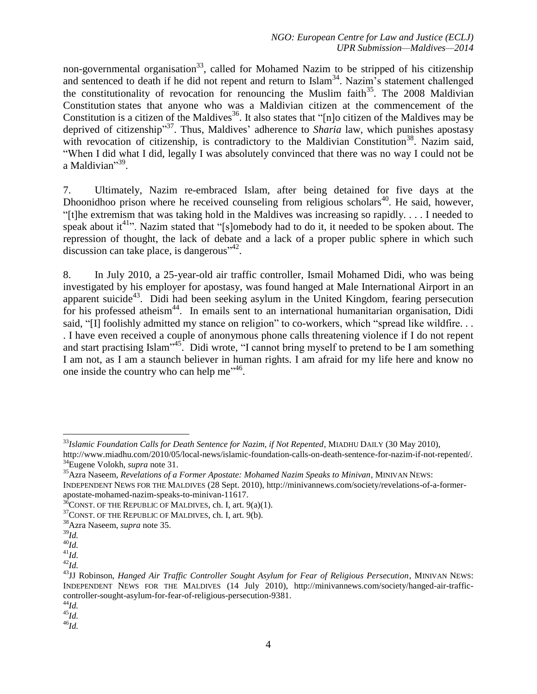<span id="page-4-0"></span>non-governmental organisation<sup>33</sup>, called for Mohamed Nazim to be stripped of his citizenship and sentenced to death if he did not repent and return to Islam<sup>34</sup>. Nazim<sup>3</sup>s statement challenged the constitutionality of revocation for renouncing the Muslim faith<sup>35</sup>. The 2008 Maldivian Constitution states that anyone who was a Maldivian citizen at the commencement of the Constitution is a citizen of the Maldives<sup>36</sup>. It also states that "[n]o citizen of the Maldives may be deprived of citizenship"<sup>37</sup>. Thus, Maldives' adherence to *Sharia* law, which punishes apostasy with revocation of citizenship, is contradictory to the Maldivian Constitution<sup>38</sup>. Nazim said, "When I did what I did, legally I was absolutely convinced that there was no way I could not be a Maldivian"<sup>39</sup>.

7. Ultimately, Nazim re-embraced Islam, after being detained for five days at the Dhoonidhoo prison where he received counseling from religious scholars<sup>40</sup>. He said, however, "[t]he extremism that was taking hold in the Maldives was increasing so rapidly. . . . I needed to speak about  $it^{41}$ . Nazim stated that "[s]omebody had to do it, it needed to be spoken about. The repression of thought, the lack of debate and a lack of a proper public sphere in which such discussion can take place, is dangerous<sup>"42</sup>.

8. In July 2010, a 25-year-old air traffic controller, Ismail Mohamed Didi, who was being investigated by his employer for apostasy, was found hanged at Male International Airport in an apparent suicide<sup>43</sup>. Didi had been seeking asylum in the United Kingdom, fearing persecution for his professed atheism<sup>44</sup>. In emails sent to an international humanitarian organisation, Didi said, "[I] foolishly admitted my stance on religion" to co-workers, which "spread like wildfire. . . . I have even received a couple of anonymous phone calls threatening violence if I do not repent and start practising Islam"<sup>45</sup>. Didi wrote, "I cannot bring myself to pretend to be I am something I am not, as I am a staunch believer in human rights. I am afraid for my life here and know no one inside the country who can help me $^{346}$ .

 $\overline{a}$ 

<sup>46</sup>*Id.*

<sup>&</sup>lt;sup>33</sup>Islamic Foundation Calls for Death Sentence for Nazim, if Not Repented, MIADHU DAILY (30 May 2010),

http://www.miadhu.com/2010/05/local-news/islamic-foundation-calls-on-death-sentence-for-nazim-if-not-repented/. <sup>34</sup>Eugene Volokh, *supra* note [31.](#page-3-1)

<sup>35</sup>Azra Naseem, *Revelations of a Former Apostate: Mohamed Nazim Speaks to Minivan*, MINIVAN NEWS:

INDEPENDENT NEWS FOR THE MALDIVES (28 Sept. 2010), http://minivannews.com/society/revelations-of-a-formerapostate-mohamed-nazim-speaks-to-minivan-11617.

 $36$ CONST. OF THE REPUBLIC OF MALDIVES, ch. I, art. 9(a)(1).

<sup>&</sup>lt;sup>37</sup>CONST. OF THE REPUBLIC OF MALDIVES, ch. I, art. 9(b).

<sup>38</sup>Azra Naseem, *supra* not[e 35.](#page-4-0)

<sup>39</sup>*Id.*

 $^{40}$ *Id.* 

 $^{41}$ *Id.* 

 $^{42}$ *Id.* 

<sup>43</sup>JJ Robinson, *Hanged Air Traffic Controller Sought Asylum for Fear of Religious Persecution*, MINIVAN NEWS: INDEPENDENT NEWS FOR THE MALDIVES (14 July 2010), http://minivannews.com/society/hanged-air-trafficcontroller-sought-asylum-for-fear-of-religious-persecution-9381.

<sup>44</sup>*Id.*

 $45\overline{Id}$ .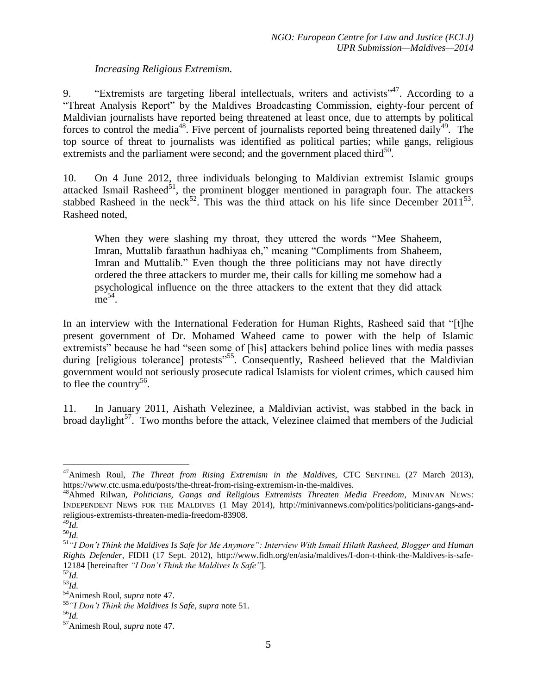## <span id="page-5-0"></span>*Increasing Religious Extremism.*

9. "Extremists are targeting liberal intellectuals, writers and activists<sup>347</sup>. According to a "Threat Analysis Report" by the Maldives Broadcasting Commission, eighty-four percent of Maldivian journalists have reported being threatened at least once, due to attempts by political forces to control the media<sup>48</sup>. Five percent of journalists reported being threatened daily<sup>49</sup>. The top source of threat to journalists was identified as political parties; while gangs, religious extremists and the parliament were second; and the government placed third $50$ .

10. On 4 June 2012, three individuals belonging to Maldivian extremist Islamic groups attacked Ismail Rasheed $51$ , the prominent blogger mentioned in paragraph four. The attackers stabbed Rasheed in the neck<sup>52</sup>. This was the third attack on his life since December 2011<sup>53</sup>. Rasheed noted,

<span id="page-5-1"></span>When they were slashing my throat, they uttered the words "Mee Shaheem, Imran, Muttalib faraathun hadhiyaa eh," meaning "Compliments from Shaheem, Imran and Muttalib." Even though the three politicians may not have directly ordered the three attackers to murder me, their calls for killing me somehow had a psychological influence on the three attackers to the extent that they did attack  $me^{54}$ .

In an interview with the International Federation for Human Rights, Rasheed said that "[t]he present government of Dr. Mohamed Waheed came to power with the help of Islamic extremists" because he had "seen some of [his] attackers behind police lines with media passes during [religious tolerance] protests<sup>"55</sup>. Consequently, Rasheed believed that the Maldivian government would not seriously prosecute radical Islamists for violent crimes, which caused him to flee the country<sup>56</sup>.

11. In January 2011, Aishath Velezinee, a Maldivian activist, was stabbed in the back in broad daylight<sup>57</sup>. Two months before the attack, Velezinee claimed that members of the Judicial

 $\overline{a}$ 

<sup>47</sup>Animesh Roul, *The Threat from Rising Extremism in the Maldives*, CTC SENTINEL (27 March 2013), https://www.ctc.usma.edu/posts/the-threat-from-rising-extremism-in-the-maldives.

<sup>48</sup>Ahmed Rilwan, *Politicians, Gangs and Religious Extremists Threaten Media Freedom*, MINIVAN NEWS: INDEPENDENT NEWS FOR THE MALDIVES (1 May 2014), http://minivannews.com/politics/politicians-gangs-andreligious-extremists-threaten-media-freedom-83908.  $^{49}$ *Id.* 

<sup>50</sup>*Id.*

<sup>51</sup>*"I Don't Think the Maldives Is Safe for Me Anymore": Interview With Ismail Hilath Rasheed, Blogger and Human Rights Defender*, FIDH (17 Sept. 2012), http://www.fidh.org/en/asia/maldives/I-don-t-think-the-Maldives-is-safe-12184 [hereinafter *"I Don't Think the Maldives Is Safe"*].

<sup>52</sup>*Id.*

<sup>53</sup>*Id.*

<sup>54</sup>Animesh Roul, *supra* note [47.](#page-5-0)

<sup>55</sup> *"I Don't Think the Maldives Is Safe*, *supra* note [51.](#page-5-1)

<sup>56</sup>*Id.*

<sup>57</sup>Animesh Roul, *supra* note [47.](#page-5-0)